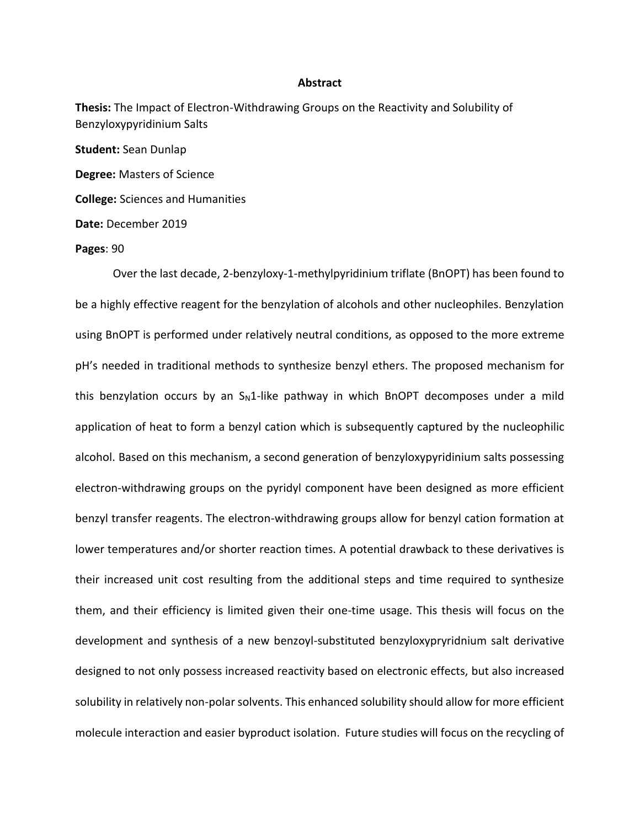## **Abstract**

**Thesis:** The Impact of Electron-Withdrawing Groups on the Reactivity and Solubility of Benzyloxypyridinium Salts

**Student:** Sean Dunlap **Degree:** Masters of Science **College:** Sciences and Humanities **Date:** December 2019

## **Pages**: 90

Over the last decade, 2-benzyloxy-1-methylpyridinium triflate (BnOPT) has been found to be a highly effective reagent for the benzylation of alcohols and other nucleophiles. Benzylation using BnOPT is performed under relatively neutral conditions, as opposed to the more extreme pH's needed in traditional methods to synthesize benzyl ethers. The proposed mechanism for this benzylation occurs by an  $S_N1$ -like pathway in which BnOPT decomposes under a mild application of heat to form a benzyl cation which is subsequently captured by the nucleophilic alcohol. Based on this mechanism, a second generation of benzyloxypyridinium salts possessing electron-withdrawing groups on the pyridyl component have been designed as more efficient benzyl transfer reagents. The electron-withdrawing groups allow for benzyl cation formation at lower temperatures and/or shorter reaction times. A potential drawback to these derivatives is their increased unit cost resulting from the additional steps and time required to synthesize them, and their efficiency is limited given their one-time usage. This thesis will focus on the development and synthesis of a new benzoyl-substituted benzyloxypryridnium salt derivative designed to not only possess increased reactivity based on electronic effects, but also increased solubility in relatively non-polar solvents. This enhanced solubility should allow for more efficient molecule interaction and easier byproduct isolation. Future studies will focus on the recycling of